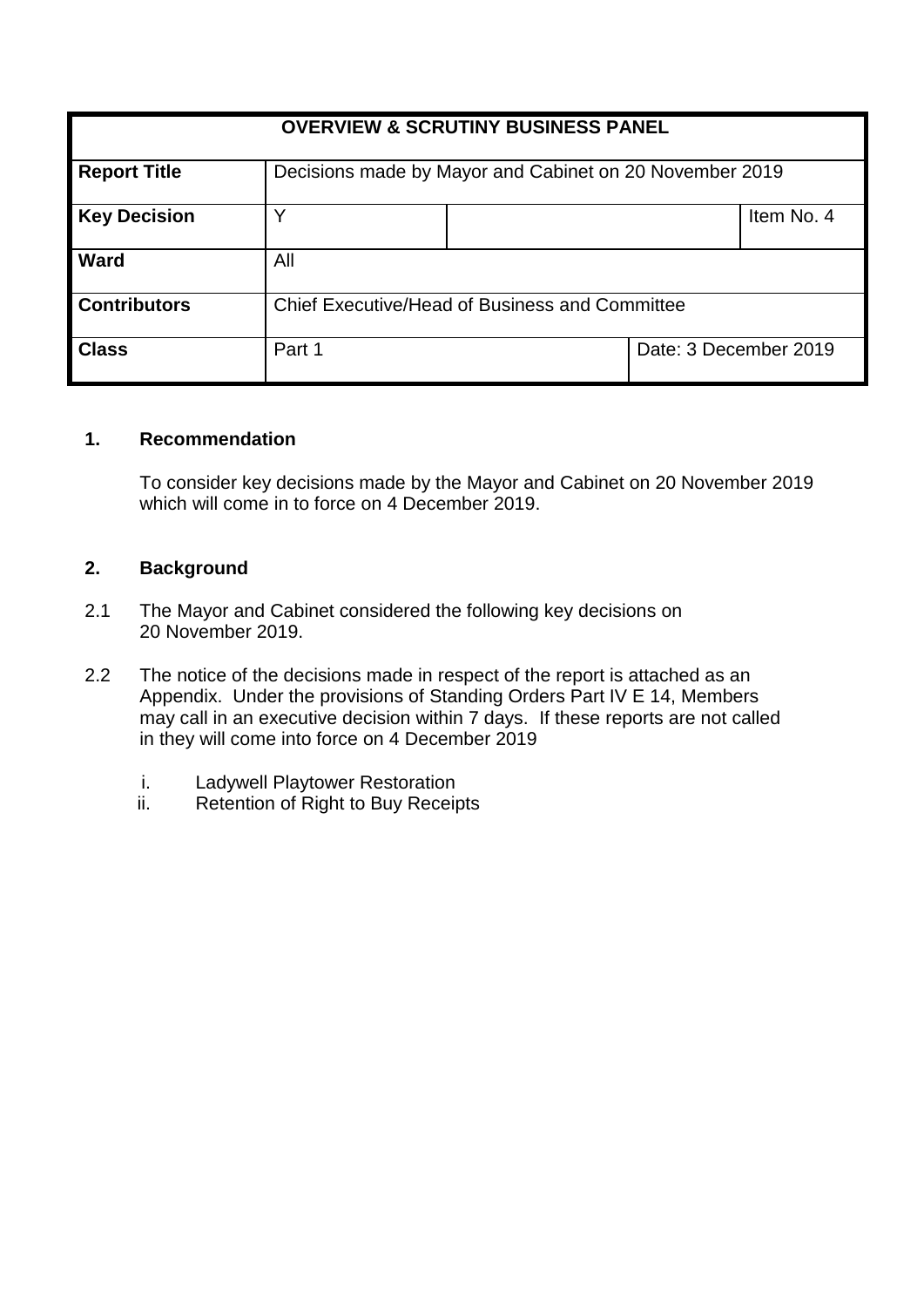| <b>OVERVIEW &amp; SCRUTINY BUSINESS PANEL</b> |                                                         |  |                       |            |
|-----------------------------------------------|---------------------------------------------------------|--|-----------------------|------------|
| <b>Report Title</b>                           | Decisions made by Mayor and Cabinet on 20 November 2019 |  |                       |            |
| <b>Key Decision</b>                           |                                                         |  |                       | Item No. 4 |
| <b>Ward</b>                                   | All                                                     |  |                       |            |
| <b>Contributors</b>                           | Chief Executive/Head of Business and Committee          |  |                       |            |
| <b>Class</b>                                  | Part 1                                                  |  | Date: 3 December 2019 |            |

### **1. Recommendation**

To consider key decisions made by the Mayor and Cabinet on 20 November 2019 which will come in to force on 4 December 2019.

#### **2. Background**

- 2.1 The Mayor and Cabinet considered the following key decisions on 20 November 2019.
- 2.2 The notice of the decisions made in respect of the report is attached as an Appendix. Under the provisions of Standing Orders Part IV E 14, Members may call in an executive decision within 7 days. If these reports are not called in they will come into force on 4 December 2019
	- i. Ladywell Playtower Restoration
	- ii. Retention of Right to Buy Receipts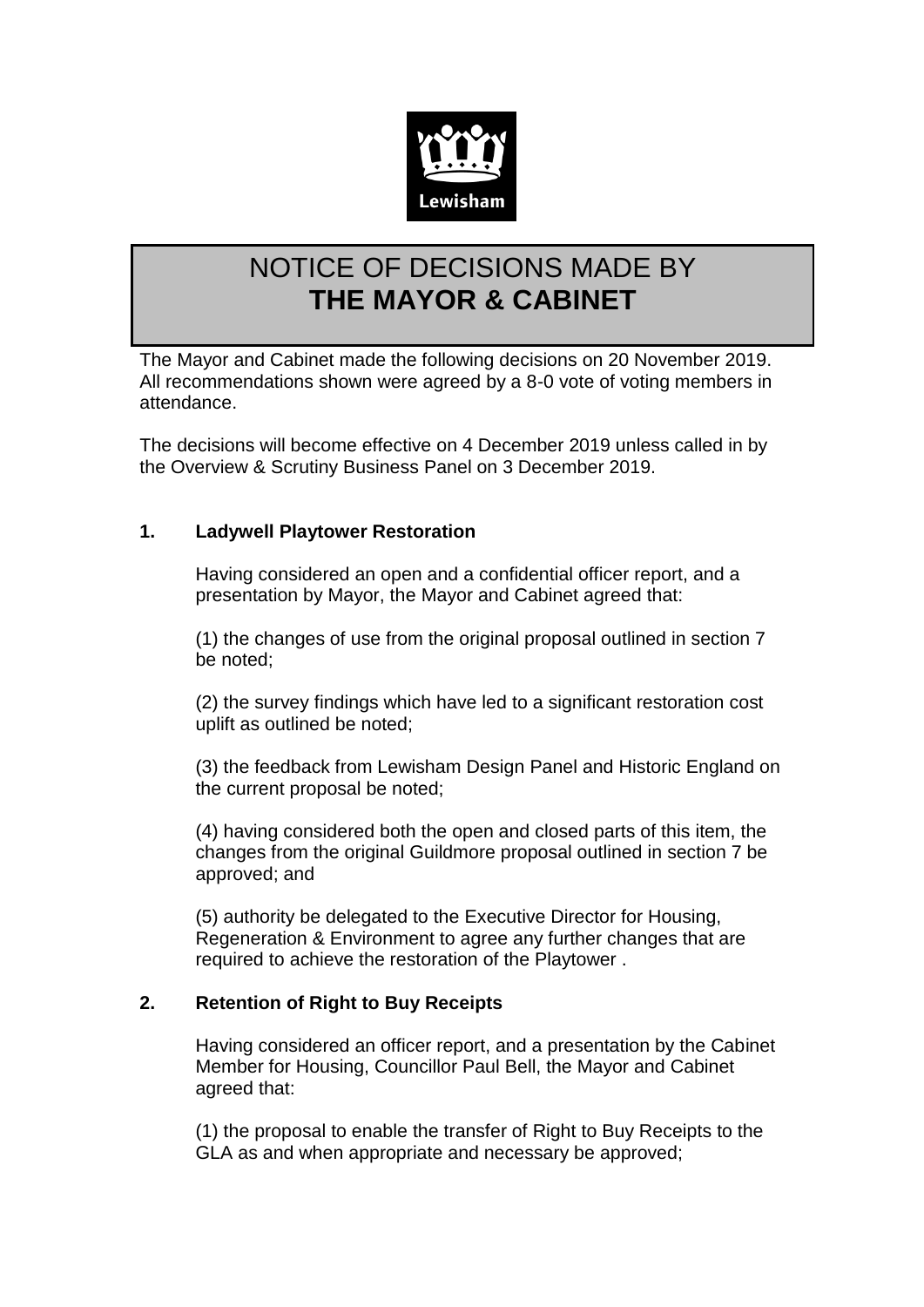

# NOTICE OF DECISIONS MADE BY **THE MAYOR & CABINET**

The Mayor and Cabinet made the following decisions on 20 November 2019. All recommendations shown were agreed by a 8-0 vote of voting members in attendance.

The decisions will become effective on 4 December 2019 unless called in by the Overview & Scrutiny Business Panel on 3 December 2019.

## **1. Ladywell Playtower Restoration**

Having considered an open and a confidential officer report, and a presentation by Mayor, the Mayor and Cabinet agreed that:

(1) the changes of use from the original proposal outlined in section 7 be noted;

(2) the survey findings which have led to a significant restoration cost uplift as outlined be noted;

(3) the feedback from Lewisham Design Panel and Historic England on the current proposal be noted;

(4) having considered both the open and closed parts of this item, the changes from the original Guildmore proposal outlined in section 7 be approved; and

(5) authority be delegated to the Executive Director for Housing, Regeneration & Environment to agree any further changes that are required to achieve the restoration of the Playtower .

## **2. Retention of Right to Buy Receipts**

Having considered an officer report, and a presentation by the Cabinet Member for Housing, Councillor Paul Bell, the Mayor and Cabinet agreed that:

(1) the proposal to enable the transfer of Right to Buy Receipts to the GLA as and when appropriate and necessary be approved;